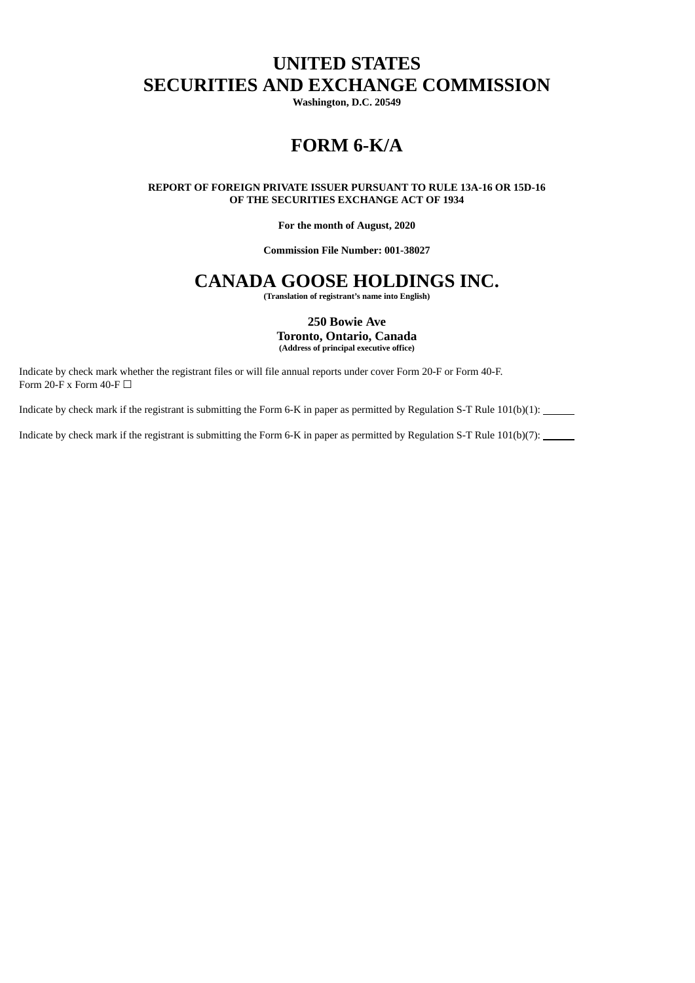# **UNITED STATES SECURITIES AND EXCHANGE COMMISSION**

**Washington, D.C. 20549**

# **FORM 6-K/A**

#### **REPORT OF FOREIGN PRIVATE ISSUER PURSUANT TO RULE 13A-16 OR 15D-16 OF THE SECURITIES EXCHANGE ACT OF 1934**

#### **For the month of August, 2020**

### **Commission File Number: 001-38027**

## **CANADA GOOSE HOLDINGS INC.**

**(Translation of registrant's name into English)**

#### **250 Bowie Ave Toronto, Ontario, Canada (Address of principal executive office)**

Indicate by check mark whether the registrant files or will file annual reports under cover Form 20-F or Form 40-F. Form 20-F x Form 40-F  $\Box$ 

Indicate by check mark if the registrant is submitting the Form 6-K in paper as permitted by Regulation S-T Rule 101(b)(1):

Indicate by check mark if the registrant is submitting the Form 6-K in paper as permitted by Regulation S-T Rule 101(b)(7):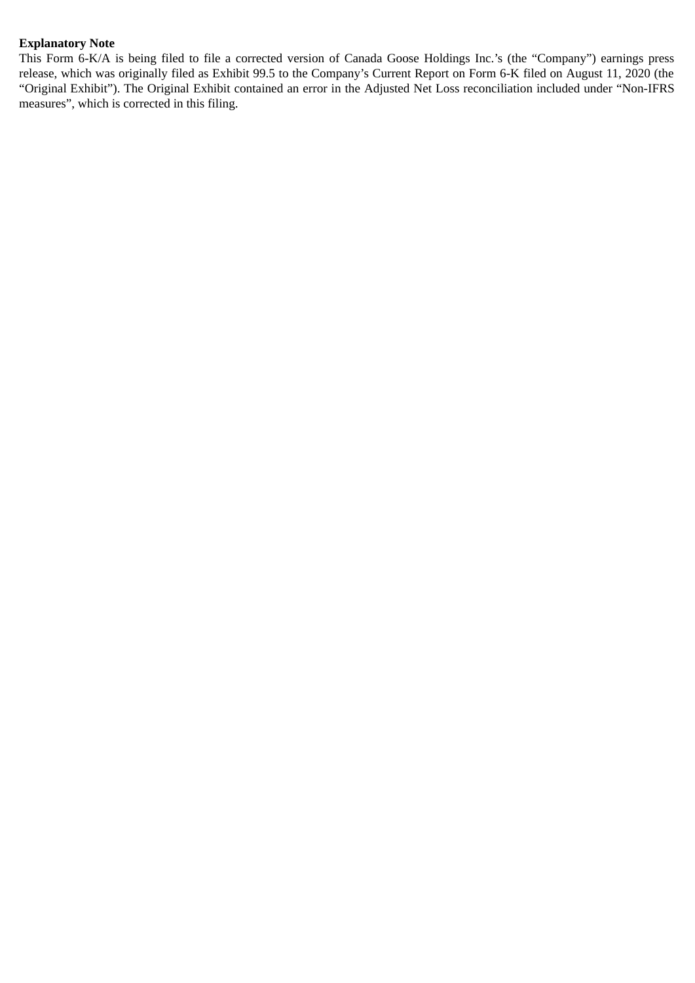## **Explanatory Note**

This Form 6-K/A is being filed to file a corrected version of Canada Goose Holdings Inc.'s (the "Company") earnings press release, which was originally filed as Exhibit 99.5 to the Company's Current Report on Form 6-K filed on August 11, 2020 (the "Original Exhibit"). The Original Exhibit contained an error in the Adjusted Net Loss reconciliation included under "Non-IFRS measures", which is corrected in this filing.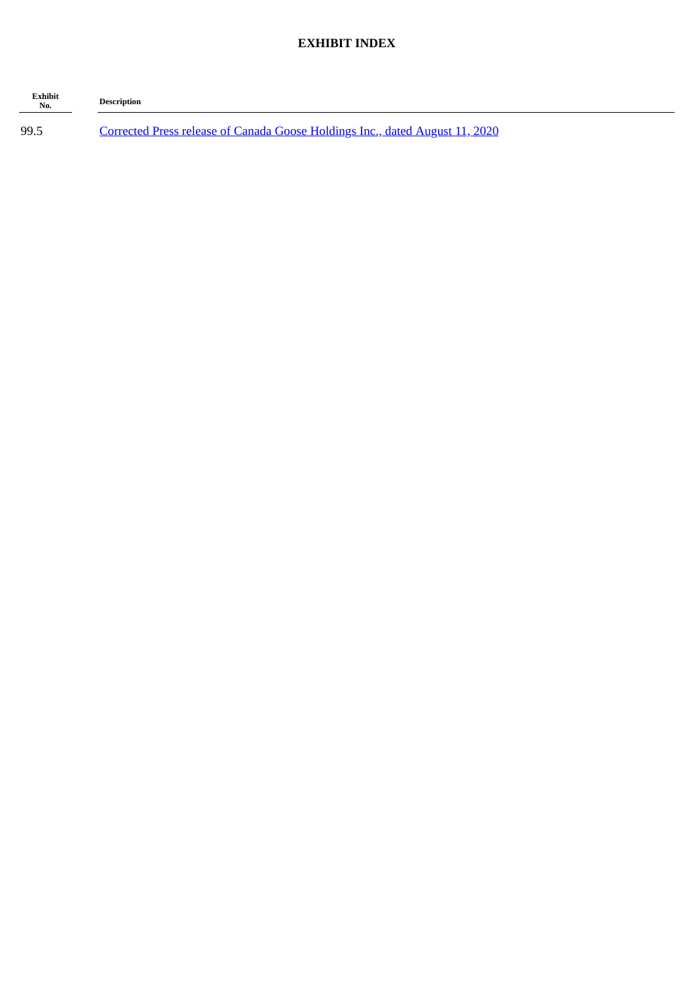## **EXHIBIT INDEX**

| Exhibit<br>No. | <b>Description</b>                                                           |
|----------------|------------------------------------------------------------------------------|
| 99.5           | Corrected Press release of Canada Goose Holdings Inc., dated August 11, 2020 |

-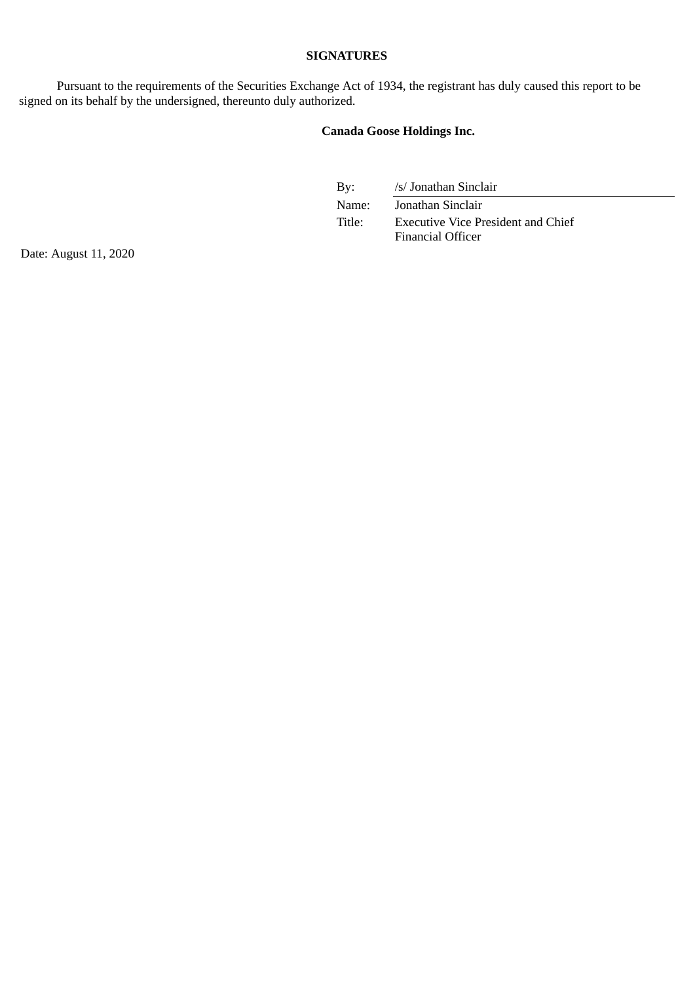## **SIGNATURES**

Pursuant to the requirements of the Securities Exchange Act of 1934, the registrant has duly caused this report to be signed on its behalf by the undersigned, thereunto duly authorized.

## **Canada Goose Holdings Inc.**

By: /s/ Jonathan Sinclair

Name: Jonathan Sinclair Title: Executive Vice President and Chief Financial Officer

Date: August 11, 2020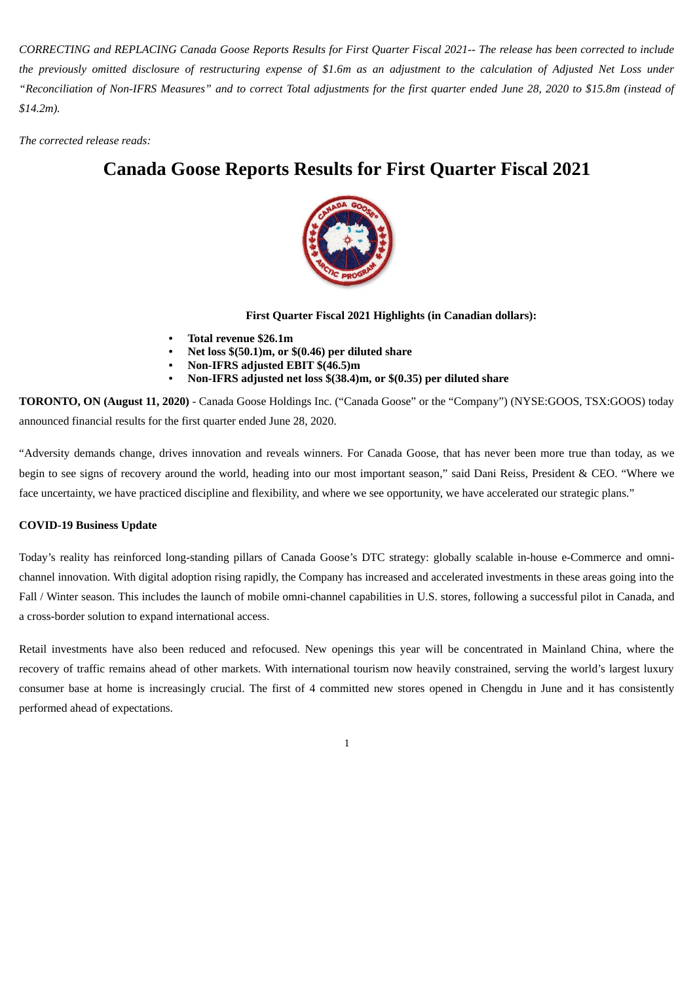<span id="page-4-0"></span>CORRECTING and REPLACING Canada Goose Reports Results for First Quarter Fiscal 2021-- The release has been corrected to include the previously omitted disclosure of restructuring expense of \$1.6m as an adjustment to the calculation of Adjusted Net Loss under "Reconciliation of Non-IFRS Measures" and to correct Total adjustments for the first quarter ended June 28, 2020 to \$15.8m (instead of *\$14.2m).*

*The corrected release reads:*

# **Canada Goose Reports Results for First Quarter Fiscal 2021**



**First Quarter Fiscal 2021 Highlights (in Canadian dollars):**

- **• Total revenue \$26.1m**
- **• Net loss \$(50.1)m, or \$(0.46) per diluted share**
- **• Non-IFRS adjusted EBIT \$(46.5)m**
- **• Non-IFRS adjusted net loss \$(38.4)m, or \$(0.35) per diluted share**

**TORONTO, ON (August 11, 2020)** - Canada Goose Holdings Inc. ("Canada Goose" or the "Company") (NYSE:GOOS, TSX:GOOS) today announced financial results for the first quarter ended June 28, 2020.

"Adversity demands change, drives innovation and reveals winners. For Canada Goose, that has never been more true than today, as we begin to see signs of recovery around the world, heading into our most important season," said Dani Reiss, President & CEO. "Where we face uncertainty, we have practiced discipline and flexibility, and where we see opportunity, we have accelerated our strategic plans."

### **COVID-19 Business Update**

Today's reality has reinforced long-standing pillars of Canada Goose's DTC strategy: globally scalable in-house e-Commerce and omnichannel innovation. With digital adoption rising rapidly, the Company has increased and accelerated investments in these areas going into the Fall / Winter season. This includes the launch of mobile omni-channel capabilities in U.S. stores, following a successful pilot in Canada, and a cross-border solution to expand international access.

Retail investments have also been reduced and refocused. New openings this year will be concentrated in Mainland China, where the recovery of traffic remains ahead of other markets. With international tourism now heavily constrained, serving the world's largest luxury consumer base at home is increasingly crucial. The first of 4 committed new stores opened in Chengdu in June and it has consistently performed ahead of expectations.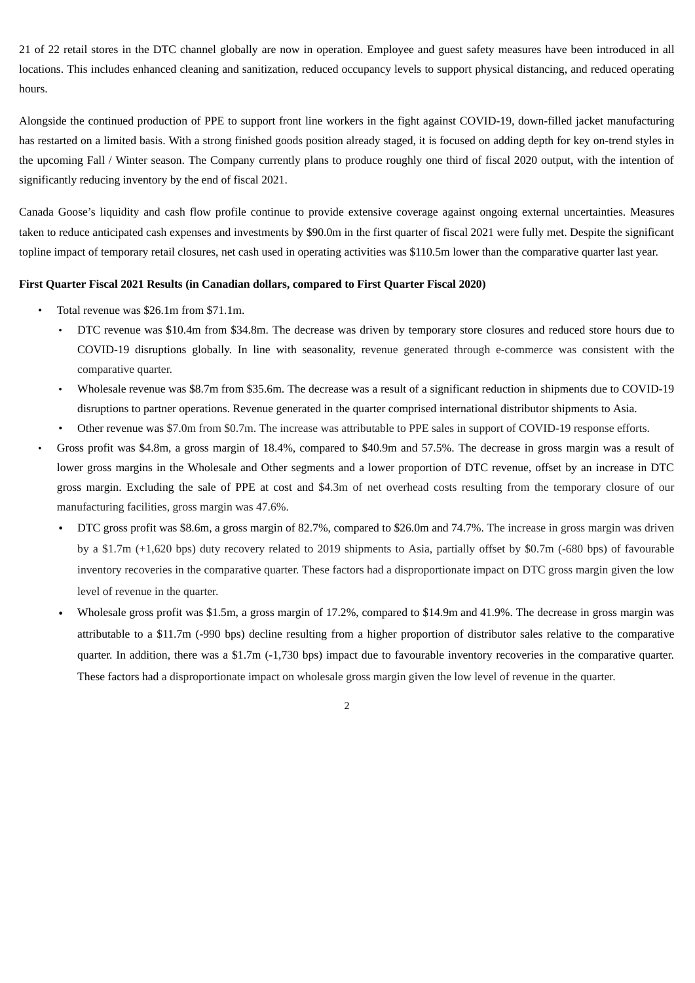21 of 22 retail stores in the DTC channel globally are now in operation. Employee and guest safety measures have been introduced in all locations. This includes enhanced cleaning and sanitization, reduced occupancy levels to support physical distancing, and reduced operating hours.

Alongside the continued production of PPE to support front line workers in the fight against COVID-19, down-filled jacket manufacturing has restarted on a limited basis. With a strong finished goods position already staged, it is focused on adding depth for key on-trend styles in the upcoming Fall / Winter season. The Company currently plans to produce roughly one third of fiscal 2020 output, with the intention of significantly reducing inventory by the end of fiscal 2021.

Canada Goose's liquidity and cash flow profile continue to provide extensive coverage against ongoing external uncertainties. Measures taken to reduce anticipated cash expenses and investments by \$90.0m in the first quarter of fiscal 2021 were fully met. Despite the significant topline impact of temporary retail closures, net cash used in operating activities was \$110.5m lower than the comparative quarter last year.

#### **First Quarter Fiscal 2021 Results (in Canadian dollars, compared to First Quarter Fiscal 2020)**

- Total revenue was \$26.1m from \$71.1m.
	- DTC revenue was \$10.4m from \$34.8m. The decrease was driven by temporary store closures and reduced store hours due to COVID-19 disruptions globally. In line with seasonality, revenue generated through e-commerce was consistent with the comparative quarter.
	- Wholesale revenue was \$8.7m from \$35.6m. The decrease was a result of a significant reduction in shipments due to COVID-19 disruptions to partner operations. Revenue generated in the quarter comprised international distributor shipments to Asia.
	- Other revenue was \$7.0m from \$0.7m. The increase was attributable to PPE sales in support of COVID-19 response efforts.
- Gross profit was \$4.8m, a gross margin of 18.4%, compared to \$40.9m and 57.5%. The decrease in gross margin was a result of lower gross margins in the Wholesale and Other segments and a lower proportion of DTC revenue, offset by an increase in DTC gross margin. Excluding the sale of PPE at cost and \$4.3m of net overhead costs resulting from the temporary closure of our manufacturing facilities, gross margin was 47.6%.
	- DTC gross profit was \$8.6m, a gross margin of 82.7%, compared to \$26.0m and 74.7%. The increase in gross margin was driven by a \$1.7m (+1,620 bps) duty recovery related to 2019 shipments to Asia, partially offset by \$0.7m (-680 bps) of favourable inventory recoveries in the comparative quarter. These factors had a disproportionate impact on DTC gross margin given the low level of revenue in the quarter.
	- Wholesale gross profit was \$1.5m, a gross margin of 17.2%, compared to \$14.9m and 41.9%. The decrease in gross margin was attributable to a \$11.7m (-990 bps) decline resulting from a higher proportion of distributor sales relative to the comparative quarter. In addition, there was a \$1.7m (-1,730 bps) impact due to favourable inventory recoveries in the comparative quarter. These factors had a disproportionate impact on wholesale gross margin given the low level of revenue in the quarter.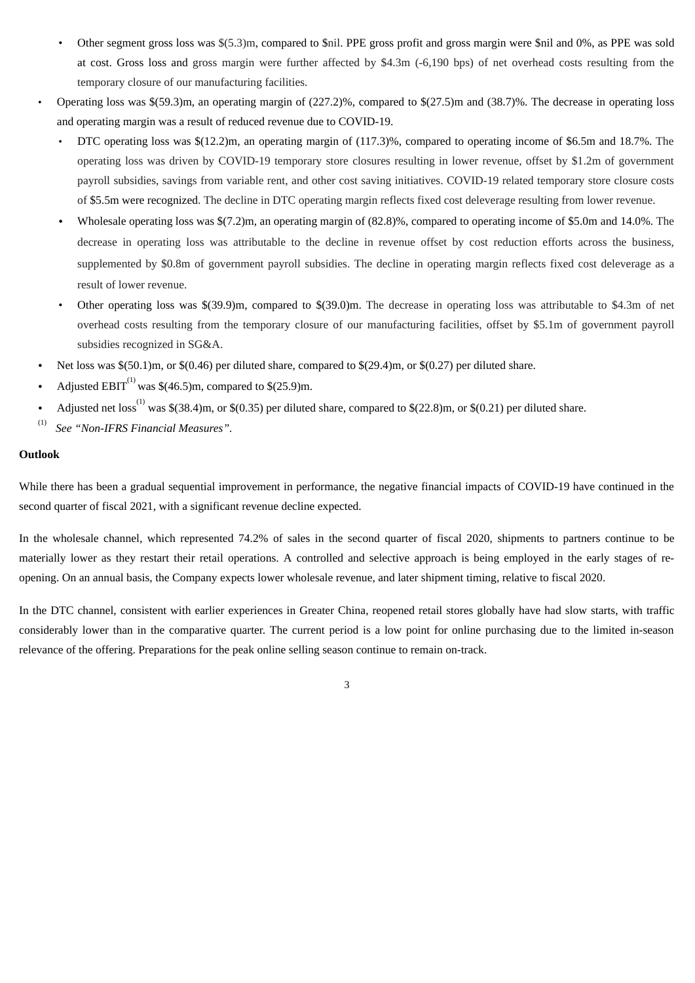- Other segment gross loss was \$(5.3)m, compared to \$nil. PPE gross profit and gross margin were \$nil and 0%, as PPE was sold at cost. Gross loss and gross margin were further affected by \$4.3m (-6,190 bps) of net overhead costs resulting from the temporary closure of our manufacturing facilities.
- Operating loss was \$(59.3)m, an operating margin of (227.2)%, compared to \$(27.5)m and (38.7)%. The decrease in operating loss and operating margin was a result of reduced revenue due to COVID-19.
	- DTC operating loss was \$(12.2)m, an operating margin of (117.3)%, compared to operating income of \$6.5m and 18.7%. The operating loss was driven by COVID-19 temporary store closures resulting in lower revenue, offset by \$1.2m of government payroll subsidies, savings from variable rent, and other cost saving initiatives. COVID-19 related temporary store closure costs of \$5.5m were recognized. The decline in DTC operating margin reflects fixed cost deleverage resulting from lower revenue.
	- Wholesale operating loss was \$(7.2)m, an operating margin of (82.8)%, compared to operating income of \$5.0m and 14.0%. The decrease in operating loss was attributable to the decline in revenue offset by cost reduction efforts across the business, supplemented by \$0.8m of government payroll subsidies. The decline in operating margin reflects fixed cost deleverage as a result of lower revenue.
	- Other operating loss was \$(39.9)m, compared to \$(39.0)m. The decrease in operating loss was attributable to \$4.3m of net overhead costs resulting from the temporary closure of our manufacturing facilities, offset by \$5.1m of government payroll subsidies recognized in SG&A.
- Net loss was \$(50.1)m, or \$(0.46) per diluted share, compared to \$(29.4)m, or \$(0.27) per diluted share.
- Adjusted  $EBIT^{(1)}$  was \$(46.5)m, compared to \$(25.9)m.
- Adjusted net loss<sup>(1)</sup> was \$(38.4)m, or \$(0.35) per diluted share, compared to \$(22.8)m, or \$(0.21) per diluted share.
- (1) *See "Non-IFRS Financial Measures".*

### **Outlook**

While there has been a gradual sequential improvement in performance, the negative financial impacts of COVID-19 have continued in the second quarter of fiscal 2021, with a significant revenue decline expected.

In the wholesale channel, which represented 74.2% of sales in the second quarter of fiscal 2020, shipments to partners continue to be materially lower as they restart their retail operations. A controlled and selective approach is being employed in the early stages of reopening. On an annual basis, the Company expects lower wholesale revenue, and later shipment timing, relative to fiscal 2020.

In the DTC channel, consistent with earlier experiences in Greater China, reopened retail stores globally have had slow starts, with traffic considerably lower than in the comparative quarter. The current period is a low point for online purchasing due to the limited in-season relevance of the offering. Preparations for the peak online selling season continue to remain on-track.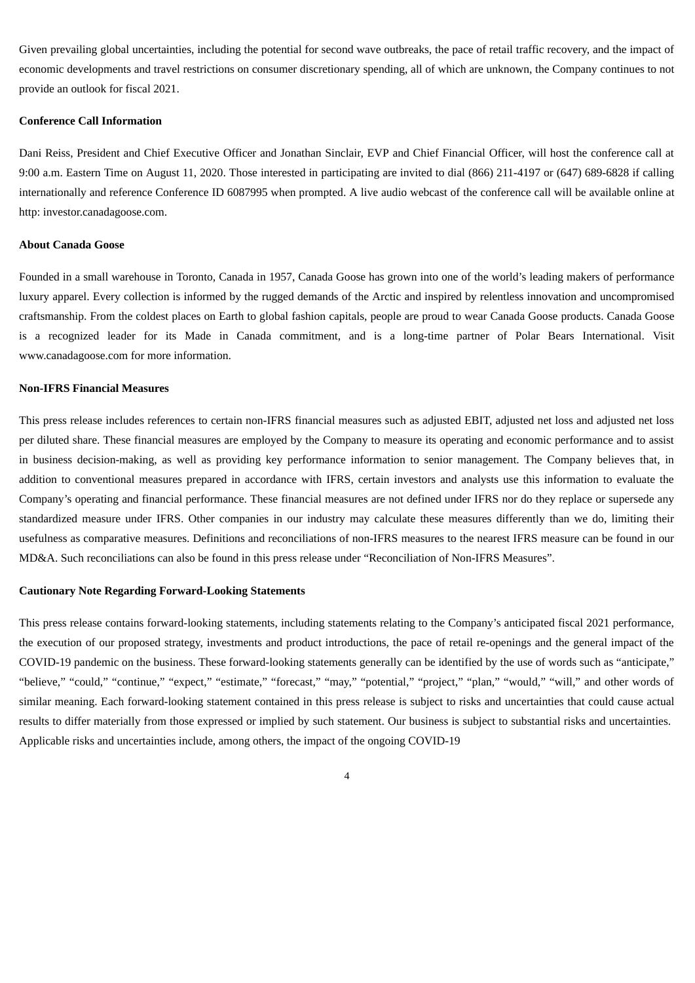Given prevailing global uncertainties, including the potential for second wave outbreaks, the pace of retail traffic recovery, and the impact of economic developments and travel restrictions on consumer discretionary spending, all of which are unknown, the Company continues to not provide an outlook for fiscal 2021.

### **Conference Call Information**

Dani Reiss, President and Chief Executive Officer and Jonathan Sinclair, EVP and Chief Financial Officer, will host the conference call at 9:00 a.m. Eastern Time on August 11, 2020. Those interested in participating are invited to dial (866) 211-4197 or (647) 689-6828 if calling internationally and reference Conference ID 6087995 when prompted. A live audio webcast of the conference call will be available online at http: investor.canadagoose.com.

#### **About Canada Goose**

Founded in a small warehouse in Toronto, Canada in 1957, Canada Goose has grown into one of the world's leading makers of performance luxury apparel. Every collection is informed by the rugged demands of the Arctic and inspired by relentless innovation and uncompromised craftsmanship. From the coldest places on Earth to global fashion capitals, people are proud to wear Canada Goose products. Canada Goose is a recognized leader for its Made in Canada commitment, and is a long-time partner of Polar Bears International. Visit www.canadagoose.com for more information.

#### **Non-IFRS Financial Measures**

This press release includes references to certain non-IFRS financial measures such as adjusted EBIT, adjusted net loss and adjusted net loss per diluted share. These financial measures are employed by the Company to measure its operating and economic performance and to assist in business decision-making, as well as providing key performance information to senior management. The Company believes that, in addition to conventional measures prepared in accordance with IFRS, certain investors and analysts use this information to evaluate the Company's operating and financial performance. These financial measures are not defined under IFRS nor do they replace or supersede any standardized measure under IFRS. Other companies in our industry may calculate these measures differently than we do, limiting their usefulness as comparative measures. Definitions and reconciliations of non-IFRS measures to the nearest IFRS measure can be found in our MD&A. Such reconciliations can also be found in this press release under "Reconciliation of Non-IFRS Measures".

#### **Cautionary Note Regarding Forward-Looking Statements**

This press release contains forward-looking statements, including statements relating to the Company's anticipated fiscal 2021 performance, the execution of our proposed strategy, investments and product introductions, the pace of retail re-openings and the general impact of the COVID-19 pandemic on the business. These forward-looking statements generally can be identified by the use of words such as "anticipate," "believe," "could," "continue," "expect," "estimate," "forecast," "may," "potential," "project," "plan," "would," "will," and other words of similar meaning. Each forward-looking statement contained in this press release is subject to risks and uncertainties that could cause actual results to differ materially from those expressed or implied by such statement. Our business is subject to substantial risks and uncertainties. Applicable risks and uncertainties include, among others, the impact of the ongoing COVID-19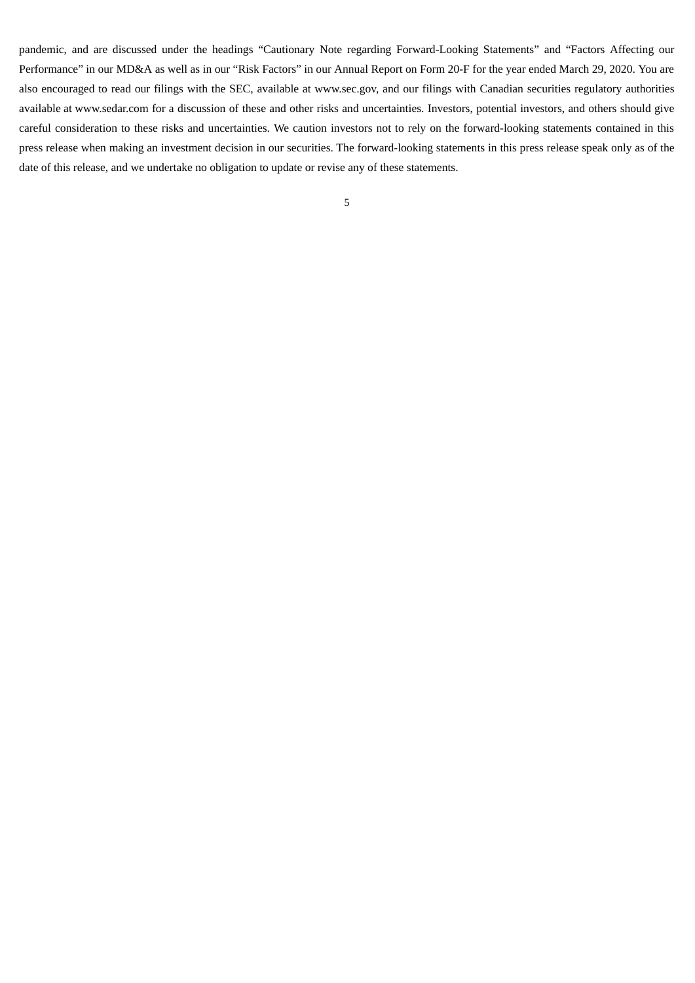pandemic, and are discussed under the headings "Cautionary Note regarding Forward-Looking Statements" and "Factors Affecting our Performance" in our MD&A as well as in our "Risk Factors" in our Annual Report on Form 20-F for the year ended March 29, 2020. You are also encouraged to read our filings with the SEC, available at www.sec.gov, and our filings with Canadian securities regulatory authorities available at www.sedar.com for a discussion of these and other risks and uncertainties. Investors, potential investors, and others should give careful consideration to these risks and uncertainties. We caution investors not to rely on the forward-looking statements contained in this press release when making an investment decision in our securities. The forward-looking statements in this press release speak only as of the date of this release, and we undertake no obligation to update or revise any of these statements.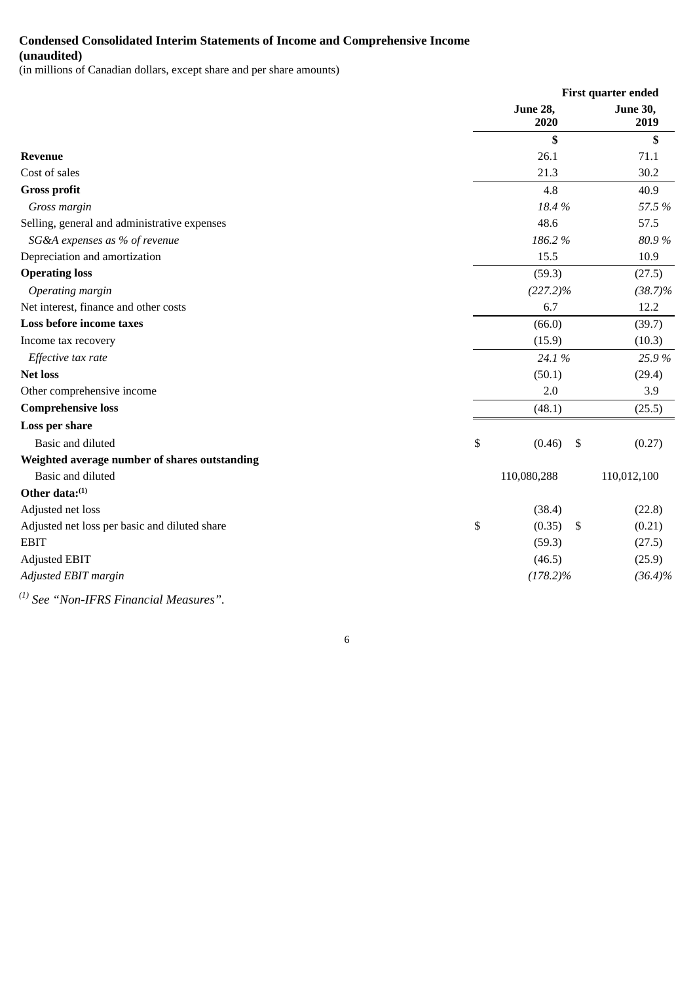## **Condensed Consolidated Interim Statements of Income and Comprehensive Income (unaudited)**

(in millions of Canadian dollars, except share and per share amounts)

|                                               |                         | First quarter ended     |  |
|-----------------------------------------------|-------------------------|-------------------------|--|
|                                               | <b>June 28,</b><br>2020 | <b>June 30,</b><br>2019 |  |
|                                               | \$                      | \$                      |  |
| <b>Revenue</b>                                | 26.1                    | 71.1                    |  |
| Cost of sales                                 | 21.3                    | 30.2                    |  |
| <b>Gross profit</b>                           | 4.8                     | 40.9                    |  |
| Gross margin                                  | 18.4%                   | 57.5 %                  |  |
| Selling, general and administrative expenses  | 48.6                    | 57.5                    |  |
| SG&A expenses as % of revenue                 | 186.2%                  | 80.9%                   |  |
| Depreciation and amortization                 | 15.5                    | 10.9                    |  |
| <b>Operating loss</b>                         | (59.3)                  | (27.5)                  |  |
| Operating margin                              | $(227.2)\%$             | $(38.7)\%$              |  |
| Net interest, finance and other costs         | 6.7                     | 12.2                    |  |
| Loss before income taxes                      | (66.0)                  | (39.7)                  |  |
| Income tax recovery                           | (15.9)                  | (10.3)                  |  |
| Effective tax rate                            | 24.1 %                  | 25.9%                   |  |
| <b>Net loss</b>                               | (50.1)                  | (29.4)                  |  |
| Other comprehensive income                    | 2.0                     | 3.9                     |  |
| <b>Comprehensive loss</b>                     | (48.1)                  | (25.5)                  |  |
| Loss per share                                |                         |                         |  |
| Basic and diluted                             | \$<br>(0.46)<br>\$      | (0.27)                  |  |
| Weighted average number of shares outstanding |                         |                         |  |
| Basic and diluted                             | 110,080,288             | 110,012,100             |  |
| Other data:(1)                                |                         |                         |  |
| Adjusted net loss                             | (38.4)                  | (22.8)                  |  |
| Adjusted net loss per basic and diluted share | \$<br>(0.35)<br>\$      | (0.21)                  |  |
| <b>EBIT</b>                                   | (59.3)                  | (27.5)                  |  |
| <b>Adjusted EBIT</b>                          | (46.5)                  | (25.9)                  |  |
| Adjusted EBIT margin                          | $(178.2)\%$             | $(36.4)\%$              |  |
| $^{(1)}$ See "Non-IFRS Financial Measures".   |                         |                         |  |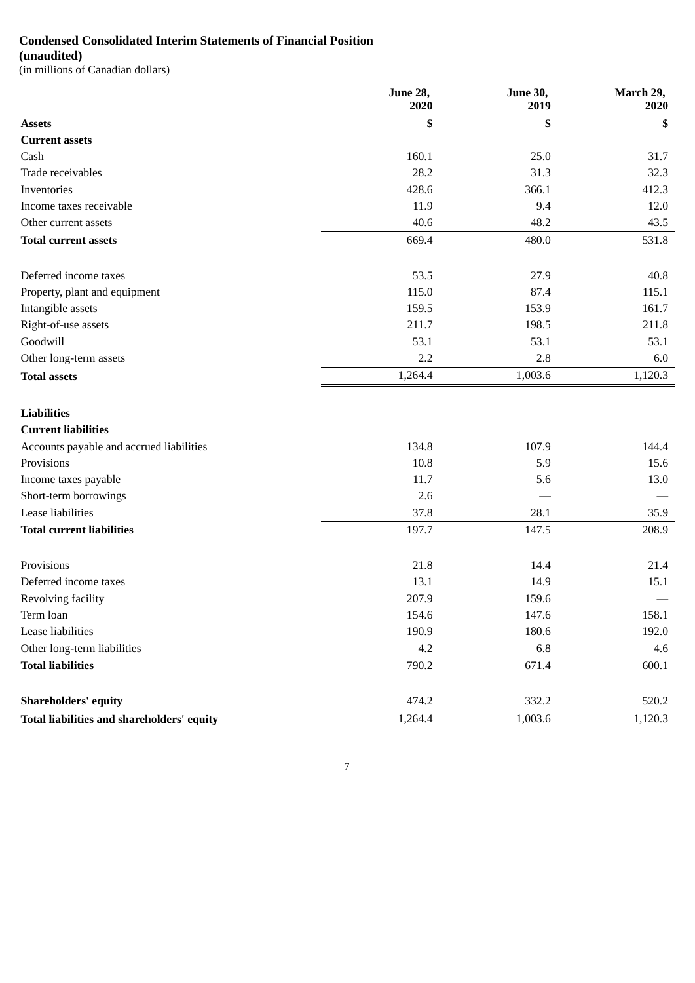## **Condensed Consolidated Interim Statements of Financial Position**

## **(unaudited)**

(in millions of Canadian dollars)

|                                            | <b>June 28,</b><br>2020 | <b>June 30,</b><br>2019 | March 29,<br>2020 |
|--------------------------------------------|-------------------------|-------------------------|-------------------|
| <b>Assets</b>                              | \$                      | \$                      | S                 |
| <b>Current assets</b>                      |                         |                         |                   |
| Cash                                       | 160.1                   | 25.0                    | 31.7              |
| Trade receivables                          | 28.2                    | 31.3                    | 32.3              |
| Inventories                                | 428.6                   | 366.1                   | 412.3             |
| Income taxes receivable                    | 11.9                    | 9.4                     | 12.0              |
| Other current assets                       | 40.6                    | 48.2                    | 43.5              |
| <b>Total current assets</b>                | 669.4                   | 480.0                   | 531.8             |
| Deferred income taxes                      | 53.5                    | 27.9                    | 40.8              |
| Property, plant and equipment              | 115.0                   | 87.4                    | 115.1             |
| Intangible assets                          | 159.5                   | 153.9                   | 161.7             |
| Right-of-use assets                        | 211.7                   | 198.5                   | 211.8             |
| Goodwill                                   | 53.1                    | 53.1                    | 53.1              |
| Other long-term assets                     | 2.2                     | 2.8                     | 6.0               |
| <b>Total assets</b>                        | 1,264.4                 | 1,003.6                 | 1,120.3           |
| <b>Liabilities</b>                         |                         |                         |                   |
| <b>Current liabilities</b>                 |                         |                         |                   |
| Accounts payable and accrued liabilities   | 134.8                   | 107.9                   | 144.4             |
| Provisions                                 | 10.8                    | 5.9                     | 15.6              |
| Income taxes payable                       | 11.7                    | 5.6                     | 13.0              |
| Short-term borrowings                      | 2.6                     |                         |                   |
| Lease liabilities                          | 37.8                    | 28.1                    | 35.9              |
| <b>Total current liabilities</b>           | 197.7                   | 147.5                   | 208.9             |
| Provisions                                 | 21.8                    | 14.4                    | 21.4              |
| Deferred income taxes                      | 13.1                    | 14.9                    | 15.1              |
| Revolving facility                         | 207.9                   | 159.6                   |                   |
| Term loan                                  | 154.6                   | 147.6                   | 158.1             |
| Lease liabilities                          | 190.9                   | 180.6                   | 192.0             |
| Other long-term liabilities                | 4.2                     | 6.8                     | 4.6               |
| <b>Total liabilities</b>                   | 790.2                   | 671.4                   | 600.1             |
| <b>Shareholders' equity</b>                | 474.2                   | 332.2                   | 520.2             |
| Total liabilities and shareholders' equity | 1,264.4                 | 1,003.6                 | 1,120.3           |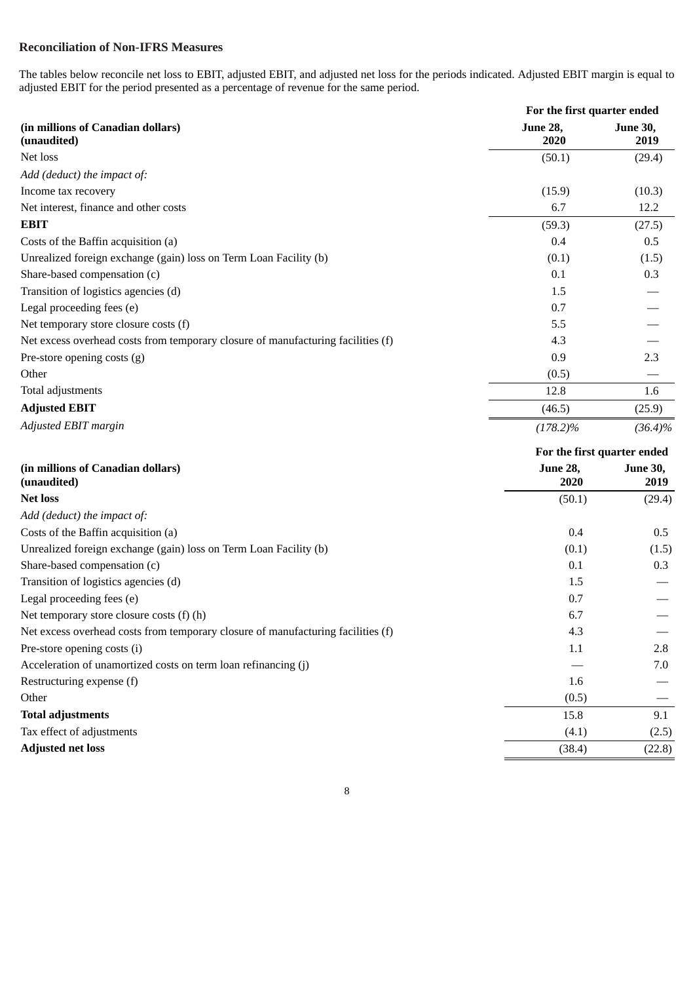## **Reconciliation of Non-IFRS Measures**

The tables below reconcile net loss to EBIT, adjusted EBIT, and adjusted net loss for the periods indicated. Adjusted EBIT margin is equal to adjusted EBIT for the period presented as a percentage of revenue for the same period.

|                                                                                  | For the first quarter ended |                             |  |
|----------------------------------------------------------------------------------|-----------------------------|-----------------------------|--|
| (in millions of Canadian dollars)<br>(unaudited)                                 | <b>June 28,</b><br>2020     | <b>June 30,</b><br>2019     |  |
| Net loss                                                                         | (50.1)                      | (29.4)                      |  |
| Add (deduct) the impact of:                                                      |                             |                             |  |
| Income tax recovery                                                              | (15.9)                      | (10.3)                      |  |
| Net interest, finance and other costs                                            | 6.7                         | 12.2                        |  |
| <b>EBIT</b>                                                                      | (59.3)                      | (27.5)                      |  |
| Costs of the Baffin acquisition (a)                                              | 0.4                         | 0.5                         |  |
| Unrealized foreign exchange (gain) loss on Term Loan Facility (b)                | (0.1)                       | (1.5)                       |  |
| Share-based compensation (c)                                                     | 0.1                         | 0.3                         |  |
| Transition of logistics agencies (d)                                             | 1.5                         |                             |  |
| Legal proceeding fees (e)                                                        | 0.7                         |                             |  |
| Net temporary store closure costs (f)                                            | 5.5                         |                             |  |
| Net excess overhead costs from temporary closure of manufacturing facilities (f) | 4.3                         |                             |  |
| Pre-store opening costs (g)                                                      | 0.9                         | 2.3                         |  |
| Other                                                                            | (0.5)                       |                             |  |
| Total adjustments                                                                | 12.8                        | 1.6                         |  |
| <b>Adjusted EBIT</b>                                                             | (46.5)                      | (25.9)                      |  |
| Adjusted EBIT margin                                                             | $(178.2)\%$                 | $(36.4)\%$                  |  |
|                                                                                  |                             | For the first quarter ended |  |
| (in millions of Canadian dollars)                                                | June 28,                    | <b>June 30,</b>             |  |
| (unaudited)                                                                      | 2020                        | 2019                        |  |
| <b>Net loss</b>                                                                  | (50.1)                      | (29.4)                      |  |
| Add (deduct) the impact of:                                                      |                             |                             |  |
| Costs of the Baffin acquisition (a)                                              | 0.4                         | 0.5                         |  |
| Unrealized foreign exchange (gain) loss on Term Loan Facility (b)                | (0.1)                       | (1.5)                       |  |
| Share-based compensation (c)                                                     | 0.1                         | 0.3                         |  |
| Transition of logistics agencies (d)                                             | 1.5                         |                             |  |
| Legal proceeding fees (e)                                                        | 0.7                         |                             |  |
| Net temporary store closure costs (f) (h)                                        | 6.7                         |                             |  |
| Net excess overhead costs from temporary closure of manufacturing facilities (f) | 4.3                         |                             |  |
| Pre-store opening costs (i)                                                      | 1.1                         | 2.8                         |  |
| Acceleration of unamortized costs on term loan refinancing (j)                   |                             | 7.0                         |  |
| Restructuring expense (f)                                                        | 1.6                         |                             |  |
| Other                                                                            | (0.5)                       |                             |  |
| <b>Total adjustments</b>                                                         | 15.8                        | 9.1                         |  |
| Tax effect of adjustments                                                        | (4.1)                       | (2.5)                       |  |
| <b>Adjusted net loss</b>                                                         | (38.4)                      | (22.8)                      |  |